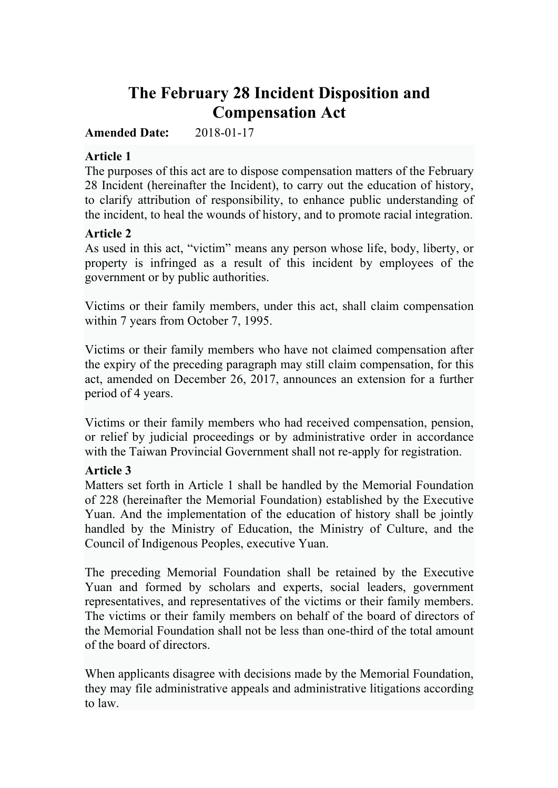# **The February 28 Incident Disposition and Compensation Act**

#### **Amended Date:** 2018-01-17

#### **Article 1**

The purposes of this act are to dispose compensation matters of the February 28 Incident (hereinafter the Incident), to carry out the education of history, to clarify attribution of responsibility, to enhance public understanding of the incident, to heal the wounds of history, and to promote racial integration.

#### **Article 2**

As used in this act, "victim" means any person whose life, body, liberty, or property is infringed as a result of this incident by employees of the government or by public authorities.

Victims or their family members, under this act, shall claim compensation within 7 years from October 7, 1995.

Victims or their family members who have not claimed compensation after the expiry of the preceding paragraph may still claim compensation, for this act, amended on December 26, 2017, announces an extension for a further period of 4 years.

Victims or their family members who had received compensation, pension, or relief by judicial proceedings or by administrative order in accordance with the Taiwan Provincial Government shall not re-apply for registration.

#### **Article 3**

Matters set forth in Article 1 shall be handled by the Memorial Foundation of 228 (hereinafter the Memorial Foundation) established by the Executive Yuan. And the implementation of the education of history shall be jointly handled by the Ministry of Education, the Ministry of Culture, and the Council of Indigenous Peoples, executive Yuan.

The preceding Memorial Foundation shall be retained by the Executive Yuan and formed by scholars and experts, social leaders, government representatives, and representatives of the victims or their family members. The victims or their family members on behalf of the board of directors of the Memorial Foundation shall not be less than one-third of the total amount of the board of directors.

When applicants disagree with decisions made by the Memorial Foundation, they may file administrative appeals and administrative litigations according to law.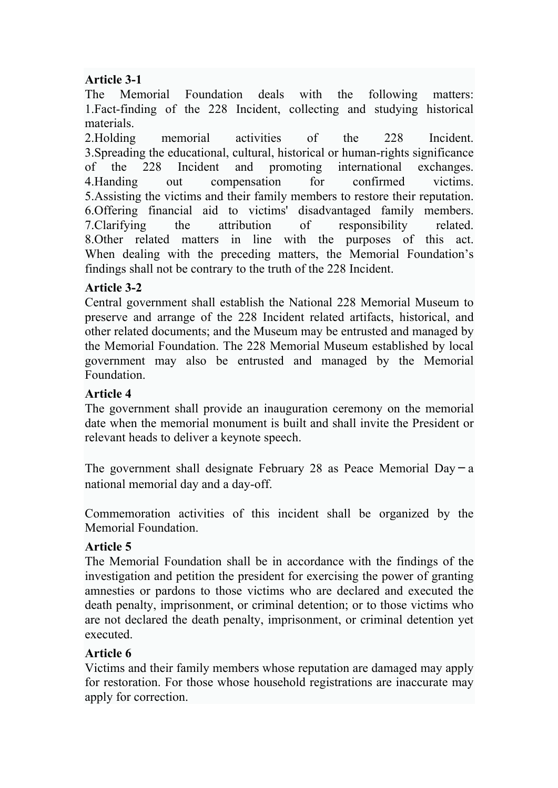# **Article 3-1**

The Memorial Foundation deals with the following matters: 1.Fact-finding of the 228 Incident, collecting and studying historical materials.

2.Holding memorial activities of the 228 Incident. 3.Spreading the educational, cultural, historical or human-rights significance of the 228 Incident and promoting international exchanges. 4.Handing out compensation for confirmed victims. 5.Assisting the victims and their family members to restore their reputation. 6.Offering financial aid to victims' disadvantaged family members. 7.Clarifying the attribution of responsibility related. 8.Other related matters in line with the purposes of this act. When dealing with the preceding matters, the Memorial Foundation's findings shall not be contrary to the truth of the 228 Incident.

# **Article 3-2**

Central government shall establish the National 228 Memorial Museum to preserve and arrange of the 228 Incident related artifacts, historical, and other related documents; and the Museum may be entrusted and managed by the Memorial Foundation. The 228 Memorial Museum established by local government may also be entrusted and managed by the Memorial Foundation.

#### **Article 4**

The government shall provide an inauguration ceremony on the memorial date when the memorial monument is built and shall invite the President or relevant heads to deliver a keynote speech.

The government shall designate February 28 as Peace Memorial Day  $-a$ national memorial day and a day-off.

Commemoration activities of this incident shall be organized by the Memorial Foundation.

#### **Article 5**

The Memorial Foundation shall be in accordance with the findings of the investigation and petition the president for exercising the power of granting amnesties or pardons to those victims who are declared and executed the death penalty, imprisonment, or criminal detention; or to those victims who are not declared the death penalty, imprisonment, or criminal detention yet executed.

#### **Article 6**

Victims and their family members whose reputation are damaged may apply for restoration. For those whose household registrations are inaccurate may apply for correction.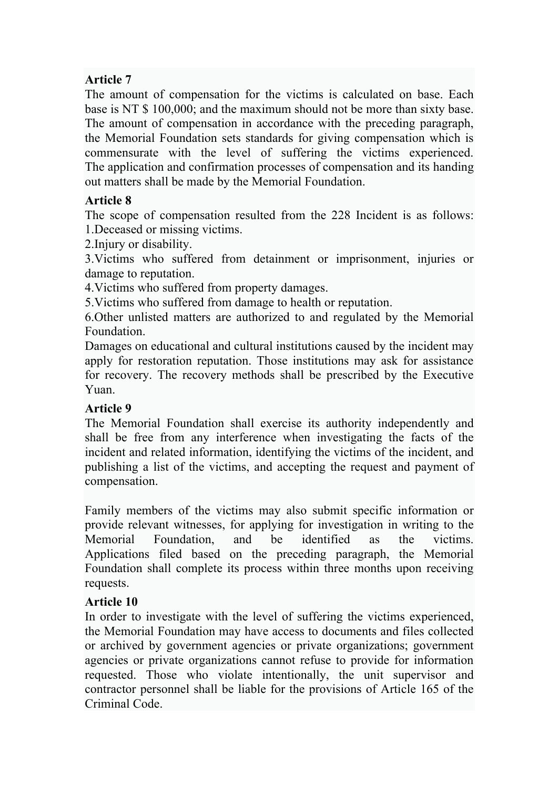# **Article 7**

The amount of compensation for the victims is calculated on base. Each base is NT \$ 100,000; and the maximum should not be more than sixty base. The amount of compensation in accordance with the preceding paragraph, the Memorial Foundation sets standards for giving compensation which is commensurate with the level of suffering the victims experienced. The application and confirmation processes of compensation and its handing out matters shall be made by the Memorial Foundation.

# **Article 8**

The scope of compensation resulted from the 228 Incident is as follows: 1.Deceased or missing victims.

2.Injury or disability.

3.Victims who suffered from detainment or imprisonment, injuries or damage to reputation.

4.Victims who suffered from property damages.

5.Victims who suffered from damage to health or reputation.

6.Other unlisted matters are authorized to and regulated by the Memorial Foundation.

Damages on educational and cultural institutions caused by the incident may apply for restoration reputation. Those institutions may ask for assistance for recovery. The recovery methods shall be prescribed by the Executive Yuan.

# **Article 9**

The Memorial Foundation shall exercise its authority independently and shall be free from any interference when investigating the facts of the incident and related information, identifying the victims of the incident, and publishing a list of the victims, and accepting the request and payment of compensation.

Family members of the victims may also submit specific information or provide relevant witnesses, for applying for investigation in writing to the Memorial Foundation, and be identified as the victims. Applications filed based on the preceding paragraph, the Memorial Foundation shall complete its process within three months upon receiving requests.

# **Article 10**

In order to investigate with the level of suffering the victims experienced, the Memorial Foundation may have access to documents and files collected or archived by government agencies or private organizations; government agencies or private organizations cannot refuse to provide for information requested. Those who violate intentionally, the unit supervisor and contractor personnel shall be liable for the provisions of Article 165 of the Criminal Code.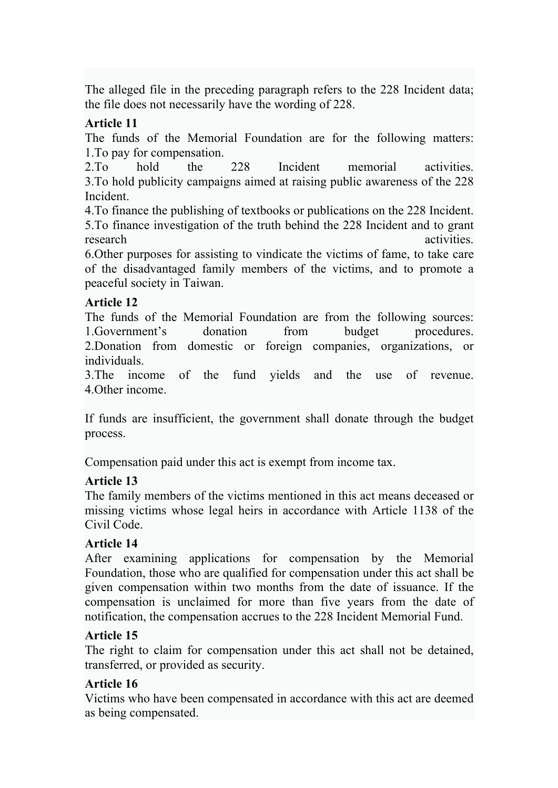The alleged file in the preceding paragraph refers to the 228 Incident data; the file does not necessarily have the wording of 228.

#### **Article 11**

The funds of the Memorial Foundation are for the following matters: 1.To pay for compensation.

2.To hold the 228 Incident memorial activities. 3.To hold publicity campaigns aimed at raising public awareness of the 228 Incident.

4.To finance the publishing of textbooks or publications on the 228 Incident. 5.To finance investigation of the truth behind the 228 Incident and to grant research activities.

6.Other purposes for assisting to vindicate the victims of fame, to take care of the disadvantaged family members of the victims, and to promote a peaceful society in Taiwan.

# **Article 12**

The funds of the Memorial Foundation are from the following sources: 1.Government's donation from budget procedures. 2.Donation from domestic or foreign companies, organizations, or individuals.

3.The income of the fund yields and the use of revenue. 4.Other income.

If funds are insufficient, the government shall donate through the budget process.

Compensation paid under this act is exempt from income tax.

#### **Article 13**

The family members of the victims mentioned in this act means deceased or missing victims whose legal heirs in accordance with Article 1138 of the Civil Code.

# **Article 14**

After examining applications for compensation by the Memorial Foundation, those who are qualified for compensation under this act shall be given compensation within two months from the date of issuance. If the compensation is unclaimed for more than five years from the date of notification, the compensation accrues to the 228 Incident Memorial Fund.

# **Article 15**

The right to claim for compensation under this act shall not be detained, transferred, or provided as security.

# **Article 16**

Victims who have been compensated in accordance with this act are deemed as being compensated.